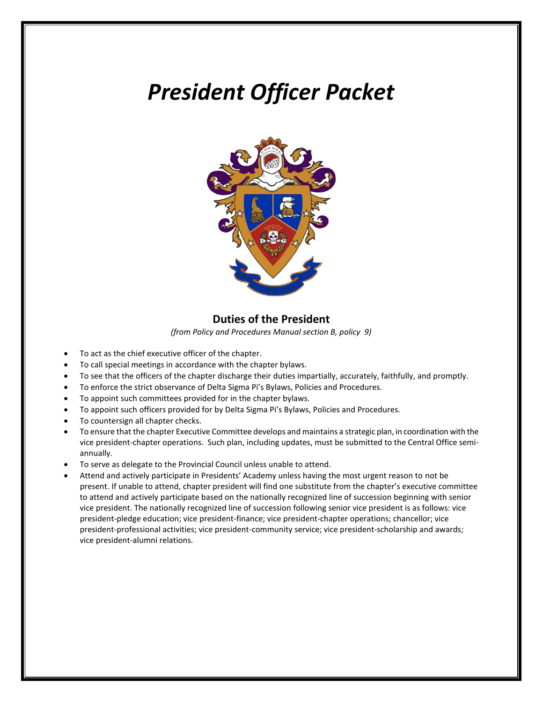# *President Officer Packet*



#### **Duties of the President**

*(from Policy and Procedures Manual section B, policy 9)*

- To act as the chief executive officer of the chapter.
- To call special meetings in accordance with the chapter bylaws.
- To see that the officers of the chapter discharge their duties impartially, accurately, faithfully, and promptly.
- To enforce the strict observance of Delta Sigma Pi's Bylaws, Policies and Procedures.
- To appoint such committees provided for in the chapter bylaws.
- To appoint such officers provided for by Delta Sigma Pi's Bylaws, Policies and Procedures.
- To countersign all chapter checks.
- To ensure that the chapter Executive Committee develops and maintains a strategic plan, in coordination with the vice president-chapter operations. Such plan, including updates, must be submitted to the Central Office semiannually.
- To serve as delegate to the Provincial Council unless unable to attend.
- Attend and actively participate in Presidents' Academy unless having the most urgent reason to not be present. If unable to attend, chapter president will find one substitute from the chapter's executive committee to attend and actively participate based on the nationally recognized line of succession beginning with senior vice president. The nationally recognized line of succession following senior vice president is as follows: vice president-pledge education; vice president-finance; vice president-chapter operations; chancellor; vice president-professional activities; vice president-community service; vice president-scholarship and awards; vice president-alumni relations.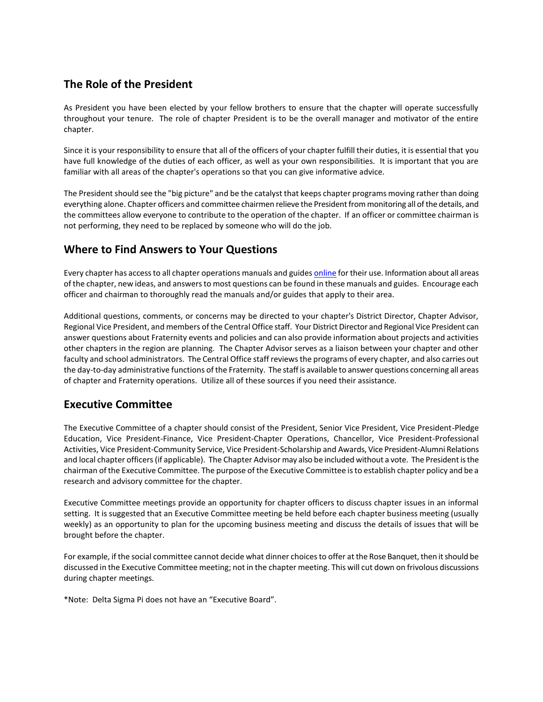# **The Role of the President**

As President you have been elected by your fellow brothers to ensure that the chapter will operate successfully throughout your tenure. The role of chapter President is to be the overall manager and motivator of the entire chapter.

Since it is your responsibility to ensure that all of the officers of your chapter fulfill their duties, it is essential that you have full knowledge of the duties of each officer, as well as your own responsibilities. It is important that you are familiar with all areas of the chapter's operations so that you can give informative advice.

The President should see the "big picture" and be the catalyst that keeps chapter programs moving rather than doing everything alone. Chapter officers and committee chairmen relieve the President from monitoring all of the details, and the committees allow everyone to contribute to the operation of the chapter. If an officer or committee chairman is not performing, they need to be replaced by someone who will do the job.

#### **Where to Find Answers to Your Questions**

Every chapter has access to all chapter operations manuals and guide[s online](https://www.deltasigmapi.org/about/resources) for their use. Information about all areas of the chapter, new ideas, and answers to most questions can be found in these manuals and guides. Encourage each officer and chairman to thoroughly read the manuals and/or guides that apply to their area.

Additional questions, comments, or concerns may be directed to your chapter's District Director, Chapter Advisor, Regional Vice President, and members of the Central Office staff. Your District Director and Regional Vice President can answer questions about Fraternity events and policies and can also provide information about projects and activities other chapters in the region are planning. The Chapter Advisor serves as a liaison between your chapter and other faculty and school administrators. The Central Office staff reviews the programs of every chapter, and also carries out the day-to-day administrative functions of the Fraternity. The staff is available to answer questions concerning all areas of chapter and Fraternity operations. Utilize all of these sources if you need their assistance.

## **Executive Committee**

The Executive Committee of a chapter should consist of the President, Senior Vice President, Vice President-Pledge Education, Vice President-Finance, Vice President-Chapter Operations, Chancellor, Vice President-Professional Activities, Vice President-Community Service, Vice President-Scholarship and Awards, Vice President-Alumni Relations and local chapter officers (if applicable). The Chapter Advisor may also be included without a vote. The President is the chairman of the Executive Committee. The purpose of the Executive Committee is to establish chapter policy and be a research and advisory committee for the chapter.

Executive Committee meetings provide an opportunity for chapter officers to discuss chapter issues in an informal setting. It is suggested that an Executive Committee meeting be held before each chapter business meeting (usually weekly) as an opportunity to plan for the upcoming business meeting and discuss the details of issues that will be brought before the chapter.

For example, if the social committee cannot decide what dinner choices to offer at the Rose Banquet, then it should be discussed in the Executive Committee meeting; not in the chapter meeting. This will cut down on frivolous discussions during chapter meetings.

\*Note: Delta Sigma Pi does not have an "Executive Board".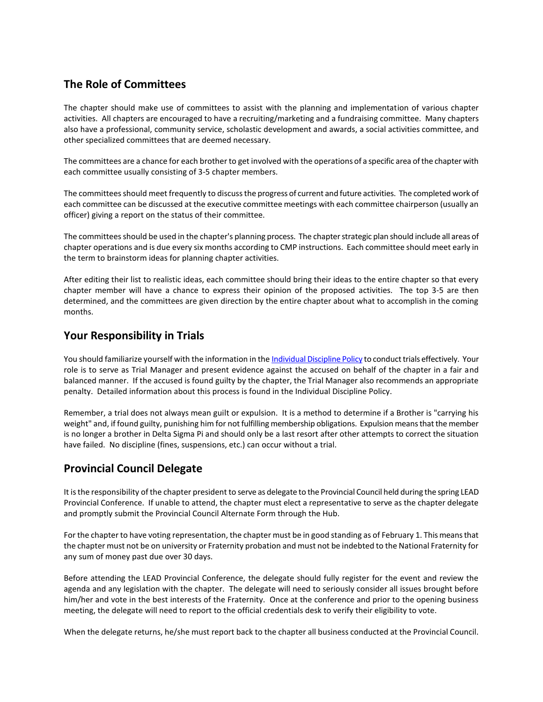# **The Role of Committees**

The chapter should make use of committees to assist with the planning and implementation of various chapter activities. All chapters are encouraged to have a recruiting/marketing and a fundraising committee. Many chapters also have a professional, community service, scholastic development and awards, a social activities committee, and other specialized committees that are deemed necessary.

The committees are a chance for each brother to get involved with the operations of a specific area of the chapter with each committee usually consisting of 3-5 chapter members.

The committees should meet frequently to discuss the progress of current and future activities. The completed work of each committee can be discussed at the executive committee meetings with each committee chairperson (usually an officer) giving a report on the status of their committee.

The committees should be used in the chapter's planning process. The chapter strategic plan should include all areas of chapter operations and is due every six months according to CMP instructions. Each committee should meet early in the term to brainstorm ideas for planning chapter activities.

After editing their list to realistic ideas, each committee should bring their ideas to the entire chapter so that every chapter member will have a chance to express their opinion of the proposed activities. The top 3-5 are then determined, and the committees are given direction by the entire chapter about what to accomplish in the coming months.

#### **Your Responsibility in Trials**

You should familiarize yourself with the information in th[e Individual Discipline Policy](https://www.deltasigmapi.org/docs/default-source/resources/discipline.pdf) to conduct trials effectively. Your role is to serve as Trial Manager and present evidence against the accused on behalf of the chapter in a fair and balanced manner. If the accused is found guilty by the chapter, the Trial Manager also recommends an appropriate penalty. Detailed information about this process is found in the Individual Discipline Policy.

Remember, a trial does not always mean guilt or expulsion. It is a method to determine if a Brother is "carrying his weight" and, if found guilty, punishing him for not fulfilling membership obligations. Expulsion means that the member is no longer a brother in Delta Sigma Pi and should only be a last resort after other attempts to correct the situation have failed. No discipline (fines, suspensions, etc.) can occur without a trial.

## **Provincial Council Delegate**

It is the responsibility of the chapter president to serve as delegate to the Provincial Council held during the spring LEAD Provincial Conference. If unable to attend, the chapter must elect a representative to serve as the chapter delegate and promptly submit the Provincial Council Alternate Form through the Hub.

For the chapter to have voting representation, the chapter must be in good standing as of February 1. This means that the chapter must not be on university or Fraternity probation and must not be indebted to the National Fraternity for any sum of money past due over 30 days.

Before attending the LEAD Provincial Conference, the delegate should fully register for the event and review the agenda and any legislation with the chapter. The delegate will need to seriously consider all issues brought before him/her and vote in the best interests of the Fraternity. Once at the conference and prior to the opening business meeting, the delegate will need to report to the official credentials desk to verify their eligibility to vote.

When the delegate returns, he/she must report back to the chapter all business conducted at the Provincial Council.